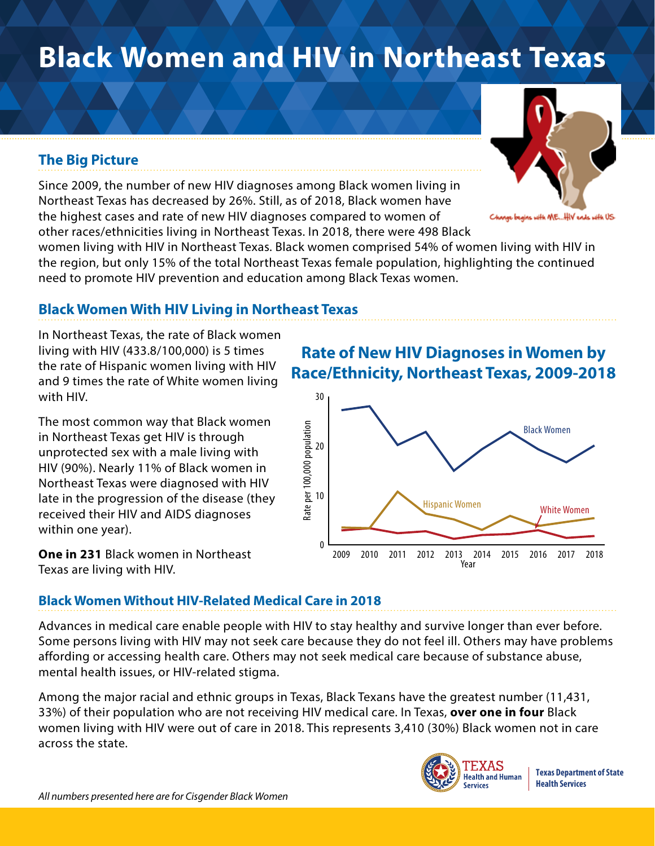# **Black Women and HIV in Northeast Texas**

## **The Big Picture**

Since 2009, the number of new HIV diagnoses among Black women living in Northeast Texas has decreased by 26%. Still, as of 2018, Black women have the highest cases and rate of new HIV diagnoses compared to women of other races/ethnicities living in Northeast Texas. In 2018, there were 498 Black

women living with HIV in Northeast Texas. Black women comprised 54% of women living with HIV in the region, but only 15% of the total Northeast Texas female population, highlighting the continued need to promote HIV prevention and education among Black Texas women.

## **Black Women With HIV Living in Northeast Texas**

In Northeast Texas, the rate of Black women living with HIV (433.8/100,000) is 5 times the rate of Hispanic women living with HIV and 9 times the rate of White women living with HIV.

The most common way that Black women in Northeast Texas get HIV is through unprotected sex with a male living with HIV (90%). Nearly 11% of Black women in Northeast Texas were diagnosed with HIV late in the progression of the disease (they received their HIV and AIDS diagnoses within one year).

**One in 231** Black women in Northeast Texas are living with HIV.

## **Rate of New HIV Diagnoses in Women by Race/Ethnicity, Northeast Texas, 2009-2018**



### **Black Women Without HIV-Related Medical Care in 2018**

Advances in medical care enable people with HIV to stay healthy and survive longer than ever before. Some persons living with HIV may not seek care because they do not feel ill. Others may have problems affording or accessing health care. Others may not seek medical care because of substance abuse, mental health issues, or HIV-related stigma.

Among the major racial and ethnic groups in Texas, Black Texans have the greatest number (11,431, 33%) of their population who are not receiving HIV medical care. In Texas, **over one in four** Black women living with HIV were out of care in 2018. This represents 3,410 (30%) Black women not in care across the state.



**Texas Department of State Health Services**



igins with ME...HIV ends with US